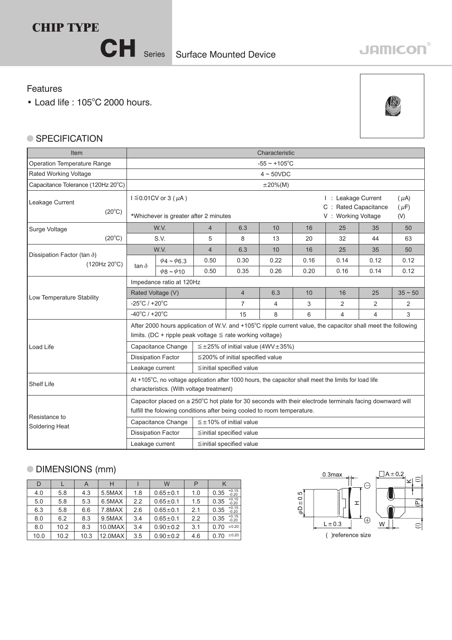

## **JAMICON®**

## Features

 $\bullet$  Load life : 105 $^{\circ}$ C 2000 hours.



## ● SPECIFICATION

| <b>Item</b>                                                 | Characteristic                                                                                                                                                                      |                                                                           |                                        |                                                    |                                                                    |                               |                |                |           |  |  |  |
|-------------------------------------------------------------|-------------------------------------------------------------------------------------------------------------------------------------------------------------------------------------|---------------------------------------------------------------------------|----------------------------------------|----------------------------------------------------|--------------------------------------------------------------------|-------------------------------|----------------|----------------|-----------|--|--|--|
| Operation Temperature Range                                 | $-55 \sim +105$ °C                                                                                                                                                                  |                                                                           |                                        |                                                    |                                                                    |                               |                |                |           |  |  |  |
| Rated Working Voltage                                       | $4 \sim 50 VDC$                                                                                                                                                                     |                                                                           |                                        |                                                    |                                                                    |                               |                |                |           |  |  |  |
| Capacitance Tolerance (120Hz 20°C)                          | $\pm 20\%$ (M)                                                                                                                                                                      |                                                                           |                                        |                                                    |                                                                    |                               |                |                |           |  |  |  |
| Leakage Current<br>$(20^{\circ}C)$                          |                                                                                                                                                                                     | $I \leq 0.01$ CV or 3 ( $\mu$ A)<br>*Whichever is greater after 2 minutes |                                        |                                                    | I : Leakage Current<br>C : Rated Capacitance<br>V: Working Voltage | $(\mu A)$<br>$(\mu F)$<br>(V) |                |                |           |  |  |  |
| Surge Voltage                                               | W.V.                                                                                                                                                                                |                                                                           | $\overline{4}$                         | 6.3                                                | 10                                                                 | 16                            | 25             | 35             | 50        |  |  |  |
| $(20^{\circ}C)$                                             | S.V.                                                                                                                                                                                |                                                                           | 5                                      | 8                                                  | 13                                                                 | 20                            | 32             | 44             | 63        |  |  |  |
|                                                             | W.V.                                                                                                                                                                                |                                                                           | $\overline{4}$                         | 6.3                                                | 10                                                                 | 16                            | 25             | 35             | 50        |  |  |  |
| Dissipation Factor (tan $\delta$ )<br>$(120Hz 20^{\circ}C)$ | tan $\delta$                                                                                                                                                                        | $\phi$ 4 ~ $\phi$ 6.3                                                     | 0.50                                   | 0.30                                               | 0.22                                                               | 0.16                          | 0.14           | 0.12           | 0.12      |  |  |  |
|                                                             |                                                                                                                                                                                     | $\phi$ 8 ~ $\phi$ 10                                                      | 0.50                                   | 0.35                                               | 0.26                                                               | 0.20                          | 0.16           | 0.14           | 0.12      |  |  |  |
|                                                             | Impedance ratio at 120Hz                                                                                                                                                            |                                                                           |                                        |                                                    |                                                                    |                               |                |                |           |  |  |  |
| Low Temperature Stability                                   | Rated Voltage (V)                                                                                                                                                                   |                                                                           |                                        | $\overline{4}$                                     | 6.3                                                                | 10                            | 16             | 25             | $35 - 50$ |  |  |  |
|                                                             | $-25^{\circ}$ C / $+20^{\circ}$ C                                                                                                                                                   |                                                                           |                                        | 7                                                  | 4                                                                  | 3                             | 2              | $\overline{2}$ | 2         |  |  |  |
|                                                             | $-40^{\circ}$ C / +20 $^{\circ}$ C                                                                                                                                                  |                                                                           |                                        | 15                                                 | 8                                                                  | 6                             | $\overline{4}$ | 4              | 3         |  |  |  |
|                                                             | After 2000 hours application of W.V. and +105°C ripple current value, the capacitor shall meet the following<br>limits. (DC + ripple peak voltage $\leq$ rate working voltage)      |                                                                           |                                        |                                                    |                                                                    |                               |                |                |           |  |  |  |
| <b>Load Life</b>                                            |                                                                                                                                                                                     | Capacitance Change                                                        |                                        | $\leq \pm 25\%$ of initial value (4WV $\pm 35\%$ ) |                                                                    |                               |                |                |           |  |  |  |
|                                                             |                                                                                                                                                                                     | <b>Dissipation Factor</b>                                                 | $\leq$ 200% of initial specified value |                                                    |                                                                    |                               |                |                |           |  |  |  |
|                                                             | Leakage current                                                                                                                                                                     |                                                                           | $\leq$ initial specified value         |                                                    |                                                                    |                               |                |                |           |  |  |  |
| <b>Shelf Life</b>                                           | At +105°C, no voltage application after 1000 hours, the capacitor shall meet the limits for load life<br>characteristics. (With voltage treatment)                                  |                                                                           |                                        |                                                    |                                                                    |                               |                |                |           |  |  |  |
| Resistance to                                               | Capacitor placed on a 250°C hot plate for 30 seconds with their electrode terminals facing downward will<br>fulfill the folowing conditions after being cooled to room temperature. |                                                                           |                                        |                                                    |                                                                    |                               |                |                |           |  |  |  |
| Soldering Heat                                              |                                                                                                                                                                                     | Capacitance Change<br>$\leq \pm 10\%$ of initial value                    |                                        |                                                    |                                                                    |                               |                |                |           |  |  |  |
|                                                             | <b>Dissipation Factor</b><br>≦initial specified value                                                                                                                               |                                                                           |                                        |                                                    |                                                                    |                               |                |                |           |  |  |  |
|                                                             | Leakage current<br>≦initial specified value                                                                                                                                         |                                                                           |                                        |                                                    |                                                                    |                               |                |                |           |  |  |  |

## DIMENSIONS (mm)

| D    |      | A    | н       |     | W              | P   |                            |
|------|------|------|---------|-----|----------------|-----|----------------------------|
| 4.0  | 5.8  | 4.3  | 5.5MAX  | 1.8 | $0.65 \pm 0.1$ | 1.0 | $+0.15$<br>$-0.20$<br>0.35 |
| 5.0  | 5.8  | 5.3  | 6.5MAX  | 2.2 | $0.65 \pm 0.1$ | 1.5 | $+0.15$<br>0.35<br>$-0.20$ |
| 6.3  | 5.8  | 6.6  | 7.8MAX  | 2.6 | $0.65 \pm 0.1$ | 2.1 | $+0.15$<br>0.35<br>$-0.20$ |
| 8.0  | 6.2  | 8.3  | 9.5MAX  | 3.4 | $0.65 + 0.1$   | 2.2 | $+0.15$<br>0.35<br>$-0.20$ |
| 8.0  | 10.2 | 8.3  | 10.0MAX | 3.4 | $0.90 \pm 0.2$ | 3.1 | ±0.20<br>0.70              |
| 10.0 | 10.2 | 10.3 | 12.0MAX | 3.5 | $0.90 + 0.2$   | 4.6 | ±0.20<br>0.70              |